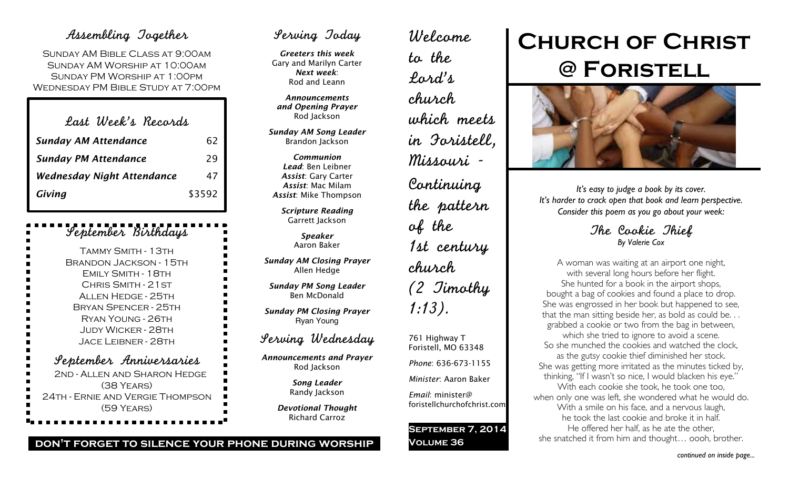### Assembling Together

Sunday AM Bible Class at 9:00am Sunday AM Worship at 10:00am Sunday PM Worship at 1:00pm Wednesday PM Bible Study at 7:00pm

| Last Week's Records         |        |
|-----------------------------|--------|
| <b>Sunday AM Attendance</b> | 62     |
| <b>Sunday PM Attendance</b> | 29     |
| Wednesday Night Attendance  | 47     |
| Giving                      | \$3592 |

### September Birthdays

| TAMMY SMITH - 13TH            |
|-------------------------------|
| <b>BRANDON JACKSON - 15TH</b> |
| <b>EMILY SMITH - 18TH</b>     |
| CHRIS SMITH - 21 ST           |
| <b>ALLEN HEDGE - 25TH</b>     |
| <b>BRYAN SPENCER - 25TH</b>   |
| RYAN YOUNG - 26TH             |
| JUDY WICKER - 28TH            |
| <b>JACE LEIBNER - 28TH</b>    |
| September Anniversaries       |
| 2ND - ALLEN AND SHARON HEDGE  |
| $(38$ YEARS)                  |
|                               |

24th - Ernie and Vergie Thompson (59 Years)

# Serving Today

*Greeters this week* Gary and Marilyn Carter *Next week*: Rod and Leann

*Announcements and Opening Prayer* Rod Jackson

*Sunday AM Song Leader* Brandon Jackson

*Communion Lead*: Ben Leibner *Assist*: Gary Carter *Assist*: Mac Milam *Assist*: Mike Thompson

*Scripture Reading* Garrett Jackson

> *Speaker* Aaron Baker

*Sunday AM Closing Prayer* Allen Hedge

*Sunday PM Song Leader* Ben McDonald

*Sunday PM Closing Prayer* Ryan Young

## Serving Wednesday

*Announcements and Prayer* Rod Jackson

> *Song Leader* Randy Jackson

*Devotional Thought* Richard Carroz

Welcome to the Lord's church which meets in Foristell, Missouri - Continuing the pattern of the 1st century church (2 Timothy 1:13). 761 Highway T Foristell, MO 63348

*Phone*: 636-673-1155

*Minister*: Aaron Baker

*Email*: minister@ foristellchurchofchrist.com

**September 7, 2014 Volume 36**

# **Church of Christ @ Foristell**



*It's easy to judge a book by its cover. It's harder to crack open that book and learn perspective. Consider this poem as you go about your week:*

> The Cookie Thief *By Valerie Cox*

A woman was waiting at an airport one night, with several long hours before her flight. She hunted for a book in the airport shops, bought a bag of cookies and found a place to drop. She was engrossed in her book but happened to see, that the man sitting beside her, as bold as could be. . . grabbed a cookie or two from the bag in between, which she tried to ignore to avoid a scene. So she munched the cookies and watched the clock, as the gutsy cookie thief diminished her stock. She was getting more irritated as the minutes ticked by, thinking, "If I wasn't so nice, I would blacken his eye." With each cookie she took, he took one too, when only one was left, she wondered what he would do. With a smile on his face, and a nervous laugh, he took the last cookie and broke it in half. He offered her half, as he ate the other, she snatched it from him and thought… oooh, brother.

#### **don't forget to silence your phone during worship**